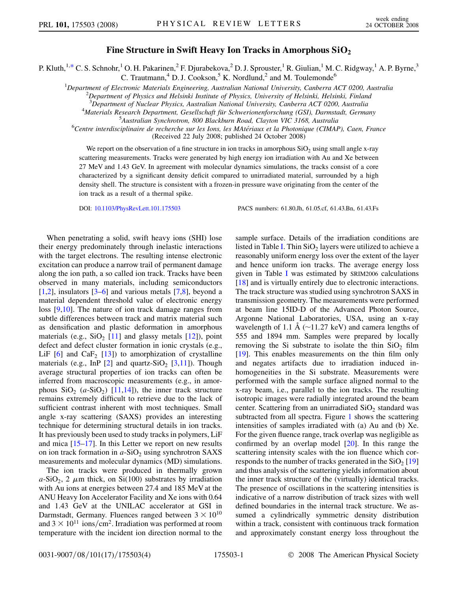## Fine Structure in Swift Heavy Ion Tracks in Amorphous  $SiO<sub>2</sub>$

<span id="page-0-0"></span>P. Kluth,<sup>1,[\\*](#page-3-0)</sup> C. S. Schnohr,<sup>1</sup> O. H. Pakarinen,<sup>2</sup> F. Djurabekova,<sup>2</sup> D. J. Sprouster,<sup>1</sup> R. Giulian,<sup>1</sup> M. C. Ridgway,<sup>1</sup> A. P. Byrne,<sup>3</sup> C. Trautmann,<sup>4</sup> D. J. Cookson,<sup>5</sup> K. Nordlund,<sup>2</sup> and M. Toulemonde<sup>6</sup>

<sup>1</sup>Department of Electronic Materials Engineering, Australian National University, Canberra ACT 0200, Australia<br><sup>2</sup>Department of Physics and Halsinki Institute of Physics, University of Halsinki, Halsinki, Finland

 $<sup>2</sup>$ Department of Physics and Helsinki Institute of Physics, University of Helsinki, Helsinki, Finland</sup>

<sup>3</sup> Department of Nuclear Physics, Australian National University, Canberra ACT 0200, Australia<br><sup>4</sup>Materials Research Department Gesellschaft für Schwerionenforschung (GSI), Darmstadt Germa

<sup>4</sup>Materials Research Department, Gesellschaft für Schwerionenforschung (GSI), Darmstadt, Germany

<sup>5</sup>Australian Synchrotron, 800 Blackburn Road, Clayton VIC 3168, Australia

 $^6$ Centre interdisciplinaire de recherche sur les Ions, les MAtériaux et la Photonique (CIMAP), Caen, France (Received 22 July 2008; published 24 October 2008)

We report on the observation of a fine structure in ion tracks in amorphous  $SiO<sub>2</sub>$  using small angle x-ray scattering measurements. Tracks were generated by high energy ion irradiation with Au and Xe between 27 MeV and 1.43 GeV. In agreement with molecular dynamics simulations, the tracks consist of a core characterized by a significant density deficit compared to unirradiated material, surrounded by a high density shell. The structure is consistent with a frozen-in pressure wave originating from the center of the ion track as a result of a thermal spike.

DOI: [10.1103/PhysRevLett.101.175503](http://dx.doi.org/10.1103/PhysRevLett.101.175503) PACS numbers: 61.80.Jh, 61.05.cf, 61.43.Bn, 61.43.Fs

When penetrating a solid, swift heavy ions (SHI) lose their energy predominately through inelastic interactions with the target electrons. The resulting intense electronic excitation can produce a narrow trail of permanent damage along the ion path, a so called ion track. Tracks have been observed in many materials, including semiconductors  $[1,2]$  $[1,2]$ , insulators  $[3-6]$  and various metals  $[7,8]$  $[7,8]$ , beyond a material dependent threshold value of electronic energy loss [[9,10\]](#page-3-0). The nature of ion track damage ranges from subtle differences between track and matrix material such as densification and plastic deformation in amorphous materials (e.g.,  $SiO<sub>2</sub>$  [\[11\]](#page-3-0) and glassy metals [\[12\]](#page-3-0)), point defect and defect cluster formation in ionic crystals (e.g., LiF  $[6]$  and CaF<sub>2</sub>  $[13]$  $[13]$  $[13]$ ) to amorphization of crystalline materials (e.g., InP  $[2]$  and quartz-SiO<sub>2</sub>  $[3,11]$ ). Though average structural properties of ion tracks can often be inferred from macroscopic measurements (e.g., in amorphous  $SiO_2$  (a-SiO<sub>2</sub>) [\[11,14\]](#page-3-0)), the inner track structure remains extremely difficult to retrieve due to the lack of sufficient contrast inherent with most techniques. Small angle x-ray scattering (SAXS) provides an interesting technique for determining structural details in ion tracks. It has previously been used to study tracks in polymers, LiF and mica  $[15-17]$ . In this Letter we report on new results on ion track formation in  $a$ -SiO<sub>2</sub> using synchrotron SAXS measurements and molecular dynamics (MD) simulations.

The ion tracks were produced in thermally grown  $a-SiO<sub>2</sub>$ , 2  $\mu$ m thick, on Si(100) substrates by irradiation with Au ions at energies between 27.4 and 185 MeV at the ANU Heavy Ion Accelerator Facility and Xe ions with 0.64 and 1.43 GeV at the UNILAC accelerator at GSI in Darmstadt, Germany. Fluences ranged between  $3 \times 10^{10}$ and  $3 \times 10^{11}$  ions/cm<sup>2</sup>. Irradiation was performed at room temperature with the incident ion direction normal to the sample surface. Details of the irradiation conditions are listed in Table [I.](#page-1-0) Thin  $SiO<sub>2</sub>$  layers were utilized to achieve a reasonably uniform energy loss over the extent of the layer and hence uniform ion tracks. The average energy loss given in Table [I](#page-1-0) was estimated by SRIM2006 calculations [\[18\]](#page-3-0) and is virtually entirely due to electronic interactions. The track structure was studied using synchrotron SAXS in transmission geometry. The measurements were performed at beam line 15ID-D of the Advanced Photon Source, Argonne National Laboratories, USA, using an x-ray wavelength of 1.1 Å ( $\sim$ 11.27 keV) and camera lengths of 555 and 1894 mm. Samples were prepared by locally removing the Si substrate to isolate the thin  $SiO<sub>2</sub>$  film [\[19\]](#page-3-0). This enables measurements on the thin film only and negates artifacts due to irradiation induced inhomogeneities in the Si substrate. Measurements were performed with the sample surface aligned normal to the x-ray beam, i.e., parallel to the ion tracks. The resulting isotropic images were radially integrated around the beam center. Scattering from an unirradiated  $SiO<sub>2</sub>$  standard was subtracted from all spectra. Figure [1](#page-1-0) shows the scattering intensities of samples irradiated with (a) Au and (b) Xe. For the given fluence range, track overlap was negligible as confirmed by an overlap model  $[20]$  $[20]$  $[20]$ . In this range the scattering intensity scales with the ion fluence which corresponds to the number of tracks generated in the  $SiO<sub>2</sub>$  [\[19\]](#page-3-0) and thus analysis of the scattering yields information about the inner track structure of the (virtually) identical tracks. The presence of oscillations in the scattering intensities is indicative of a narrow distribution of track sizes with well defined boundaries in the internal track structure. We assumed a cylindrically symmetric density distribution within a track, consistent with continuous track formation and approximately constant energy loss throughout the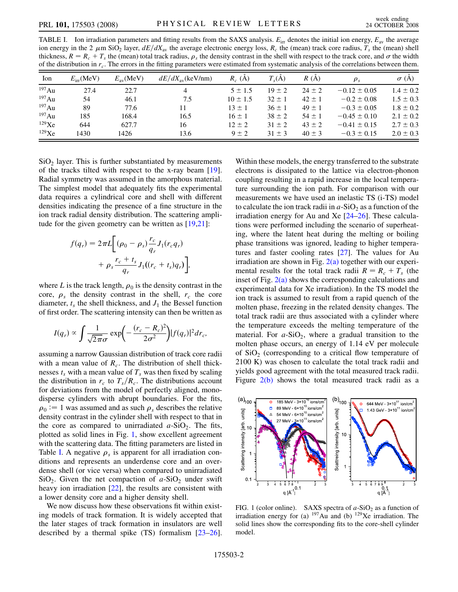<span id="page-1-0"></span>TABLE I. Ion irradiation parameters and fitting results from the SAXS analysis.  $E_{irr}$  denotes the initial ion energy,  $E_{av}$  the average ion energy in the 2  $\mu$ m SiO<sub>2</sub> layer,  $dE/dX_{av}$  the average electronic energy loss, R<sub>c</sub> the (mean) track core radius, T<sub>s</sub> the (mean) shell thickness,  $R = R_c + T_s$  the (mean) total track radius,  $\rho_s$  the density contrast in the shell with respect to the track core, and  $\sigma$  the width of the distribution in  $r_c$ . The errors in the fitting parameters were estimated from systematic analysis of the correlations between them.

| Ion         | $E_{irr}$ (MeV) | $E_{av}$ (MeV) | $dE/dX_{av}$ (keV/nm) | $R_c(A)$     | $T_s(A)$   | R(A)       | $\rho_{s}$       | $\sigma(A)$   |
|-------------|-----------------|----------------|-----------------------|--------------|------------|------------|------------------|---------------|
| 197Au       | 27.4            | 22.7           | 4                     | $5 \pm 1.5$  | $19 \pm 2$ | $24 \pm 2$ | $-0.12 \pm 0.05$ | $1.4 \pm 0.2$ |
| $^{197}$ Au | 54              | 46.1           | 7.5                   | $10 \pm 1.5$ | $32 \pm 1$ | $42 \pm 1$ | $-0.2 \pm 0.08$  | $1.5 \pm 0.3$ |
| $^{197}$ Au | 89              | 77.6           | 11                    | $13 \pm 1$   | $36 \pm 1$ | $49 \pm 1$ | $-0.3 \pm 0.05$  | $1.8 \pm 0.2$ |
| $^{197}$ Au | 185             | 168.4          | 16.5                  | $16 \pm 1$   | $38 \pm 2$ | $54 \pm 1$ | $-0.45 \pm 0.10$ | $2.1 \pm 0.2$ |
| $129$ Xe    | 644             | 627.7          | 16                    | $12 \pm 2$   | $31 \pm 2$ | $43 \pm 2$ | $-0.41 \pm 0.15$ | $2.7 \pm 0.3$ |
| 129Xe       | 1430            | 1426           | 13.6                  | $9 \pm 2$    | $31 \pm 3$ | $40 \pm 3$ | $-0.3 \pm 0.15$  | $2.0 \pm 0.3$ |

 $SiO<sub>2</sub>$  layer. This is further substantiated by measurements of the tracks tilted with respect to the x-ray beam [\[19\]](#page-3-0). Radial symmetry was assumed in the amorphous material. The simplest model that adequately fits the experimental data requires a cylindrical core and shell with different densities indicating the presence of a fine structure in the ion track radial density distribution. The scattering ampli-tude for the given geometry can be written as [\[19,21\]](#page-3-0):

$$
f(q_r) = 2\pi L \left[ (\rho_0 - \rho_s) \frac{r_c}{q_r} J_1(r_c q_r) + \rho_s \frac{r_c + t_s}{q_r} J_1((r_c + t_s) q_r) \right],
$$

where L is the track length,  $\rho_0$  is the density contrast in the core,  $\rho_s$  the density contrast in the shell,  $r_c$  the core diameter,  $t_s$  the shell thickness, and  $J_1$  the Bessel function of first order. The scattering intensity can then be written as

$$
I(q_r) \propto \int \frac{1}{\sqrt{2\pi}\sigma} \exp\left(-\frac{(r_c - R_c)^2}{2\sigma^2}\right) |f(q_r)|^2 dr_c,
$$

assuming a narrow Gaussian distribution of track core radii with a mean value of  $R_c$ . The distribution of shell thicknesses  $t_s$  with a mean value of  $T_s$  was then fixed by scaling the distribution in  $r_c$  to  $T_s/R_c$ . The distributions account for deviations from the model of perfectly aligned, monodisperse cylinders with abrupt boundaries. For the fits,  $\rho_0 := 1$  was assumed and as such  $\rho_s$  describes the relative density contrast in the cylinder shell with respect to that in the core as compared to unirradiated  $a-SiO<sub>2</sub>$ . The fits, plotted as solid lines in Fig. 1, show excellent agreement with the scattering data. The fitting parameters are listed in Table I. A negative  $\rho_s$  is apparent for all irradiation conditions and represents an underdense core and an overdense shell (or vice versa) when compared to unirradiated  $SiO<sub>2</sub>$ . Given the net compaction of  $a-SiO<sub>2</sub>$  under swift heavy ion irradiation [[22](#page-3-0)], the results are consistent with a lower density core and a higher density shell.

We now discuss how these observations fit within existing models of track formation. It is widely accepted that the later stages of track formation in insulators are well described by a thermal spike (TS) formalism [[23–26\]](#page-3-0). Within these models, the energy transferred to the substrate electrons is dissipated to the lattice via electron-phonon coupling resulting in a rapid increase in the local temperature surrounding the ion path. For comparison with our measurements we have used an inelastic TS (i-TS) model to calculate the ion track radii in  $a$ -SiO<sub>2</sub> as a function of the irradiation energy for Au and Xe [[24–26\]](#page-3-0). These calculations were performed including the scenario of superheating, where the latent heat during the melting or boiling phase transitions was ignored, leading to higher temperatures and faster cooling rates [[27](#page-3-0)]. The values for Au irradiation are shown in Fig.  $2(a)$  together with our experimental results for the total track radii  $R = R_c + T_s$  (the inset of Fig.  $2(a)$  shows the corresponding calculations and experimental data for Xe irradiation). In the TS model the ion track is assumed to result from a rapid quench of the molten phase, freezing in the related density changes. The total track radii are thus associated with a cylinder where the temperature exceeds the melting temperature of the material. For  $a-SiO<sub>2</sub>$ , where a gradual transition to the molten phase occurs, an energy of 1.14 eV per molecule of  $SiO<sub>2</sub>$  (corresponding to a critical flow temperature of 2100 K) was chosen to calculate the total track radii and yields good agreement with the total measured track radii. Figure [2\(b\)](#page-2-0) shows the total measured track radii as a



FIG. 1 (color online). SAXS spectra of  $a$ -SiO<sub>2</sub> as a function of irradiation energy for (a)  $197\,\text{Au}$  and (b)  $129\,\text{Xe}$  irradiation. The solid lines show the corresponding fits to the core-shell cylinder model.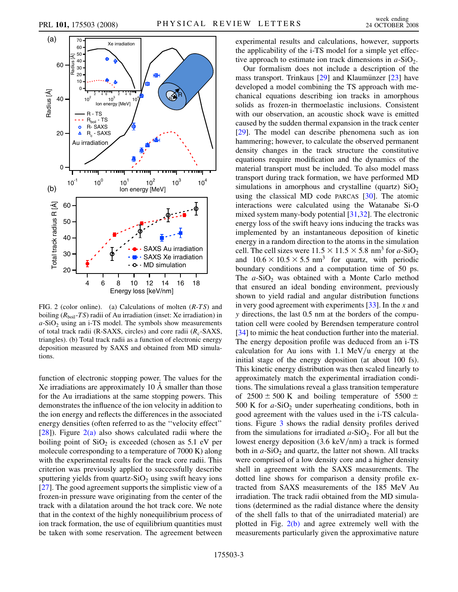<span id="page-2-0"></span>

FIG. 2 (color online). (a) Calculations of molten (R-TS) and boiling  $(R_{\text{boil}}-TS)$  radii of Au irradiation (inset: Xe irradiation) in  $a-SiO<sub>2</sub>$  using an i-TS model. The symbols show measurements of total track radii (R-SAXS, circles) and core radii  $(R_c$ -SAXS, triangles). (b) Total track radii as a function of electronic energy deposition measured by SAXS and obtained from MD simulations.

function of electronic stopping power. The values for the Xe irradiations are approximately  $10 \text{ Å}$  smaller than those for the Au irradiations at the same stopping powers. This demonstrates the influence of the ion velocity in addition to the ion energy and reflects the differences in the associated energy densities (often referred to as the ''velocity effect''  $[28]$ ). Figure  $2(a)$  also shows calculated radii where the boiling point of  $SiO<sub>2</sub>$  is exceeded (chosen as 5.1 eV per molecule corresponding to a temperature of 7000 K) along with the experimental results for the track core radii. This criterion was previously applied to successfully describe sputtering yields from quartz- $SiO<sub>2</sub>$  using swift heavy ions [\[27\]](#page-3-0). The good agreement supports the simplistic view of a frozen-in pressure wave originating from the center of the track with a dilatation around the hot track core. We note that in the context of the highly nonequilibrium process of ion track formation, the use of equilibrium quantities must be taken with some reservation. The agreement between experimental results and calculations, however, supports the applicability of the i-TS model for a simple yet effective approach to estimate ion track dimensions in  $a$ -SiO<sub>2</sub>.

Our formalism does not include a description of the mass transport. Trinkaus  $[29]$  and Klaumünzer  $[23]$  $[23]$  $[23]$  have developed a model combining the TS approach with mechanical equations describing ion tracks in amorphous solids as frozen-in thermoelastic inclusions. Consistent with our observation, an acoustic shock wave is emitted caused by the sudden thermal expansion in the track center [\[29\]](#page-3-0). The model can describe phenomena such as ion hammering; however, to calculate the observed permanent density changes in the track structure the constitutive equations require modification and the dynamics of the material transport must be included. To also model mass transport during track formation, we have performed MD simulations in amorphous and crystalline (quartz)  $SiO<sub>2</sub>$ using the classical MD code PARCAS [\[30\]](#page-3-0). The atomic interactions were calculated using the Watanabe Si-O mixed system many-body potential [[31](#page-3-0),[32](#page-3-0)]. The electronic energy loss of the swift heavy ions inducing the tracks was implemented by an instantaneous deposition of kinetic energy in a random direction to the atoms in the simulation cell. The cell sizes were  $11.5 \times 11.5 \times 5.8$  nm<sup>3</sup> for a-SiO<sub>2</sub> and  $10.6 \times 10.5 \times 5.5$  nm<sup>3</sup> for quartz, with periodic boundary conditions and a computation time of 50 ps. The  $a-SiO<sub>2</sub>$  was obtained with a Monte Carlo method that ensured an ideal bonding environment, previously shown to yield radial and angular distribution functions in very good agreement with experiments [[33](#page-3-0)]. In the x and y directions, the last 0.5 nm at the borders of the computation cell were cooled by Berendsen temperature control [\[34\]](#page-3-0) to mimic the heat conduction further into the material. The energy deposition profile was deduced from an i-TS calculation for Au ions with 1.1 MeV/u energy at the initial stage of the energy deposition (at about 100 fs). This kinetic energy distribution was then scaled linearly to approximately match the experimental irradiation conditions. The simulations reveal a glass transition temperature of 2500  $\pm$  500 K and boiling temperature of 5500  $\pm$ 500 K for  $a$ -SiO<sub>2</sub> under superheating conditions, both in good agreement with the values used in the i-TS calculations. Figure [3](#page-3-0) shows the radial density profiles derived from the simulations for irradiated  $a-SiO<sub>2</sub>$ . For all but the lowest energy deposition  $(3.6 \text{ keV/nm})$  a track is formed both in  $a$ -SiO<sub>2</sub> and quartz, the latter not shown. All tracks were comprised of a low density core and a higher density shell in agreement with the SAXS measurements. The dotted line shows for comparison a density profile extracted from SAXS measurements of the 185 MeV Au irradiation. The track radii obtained from the MD simulations (determined as the radial distance where the density of the shell falls to that of the unirradiated material) are plotted in Fig. 2(b) and agree extremely well with the measurements particularly given the approximative nature